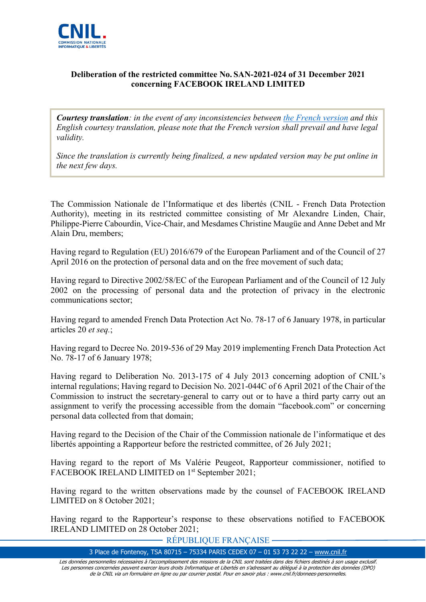

#### **Deliberation of the restricted committee No. SAN-2021-024 of 31 December 2021 concerning FACEBOOK IRELAND LIMITED**

*Courtesy translation: in the event of any inconsistencies between [the French version](https://www.legifrance.gouv.fr/cnil/id/CNILTEXT000044840532) and this English courtesy translation, please note that the French version shall prevail and have legal validity.*

*Since the translation is currently being finalized, a new updated version may be put online in the next few days.*

The Commission Nationale de l'Informatique et des libertés (CNIL - French Data Protection Authority), meeting in its restricted committee consisting of Mr Alexandre Linden, Chair, Philippe-Pierre Cabourdin, Vice-Chair, and Mesdames Christine Maugüe and Anne Debet and Mr Alain Dru, members;

Having regard to Regulation (EU) 2016/679 of the European Parliament and of the Council of 27 April 2016 on the protection of personal data and on the free movement of such data;

Having regard to Directive 2002/58/EC of the European Parliament and of the Council of 12 July 2002 on the processing of personal data and the protection of privacy in the electronic communications sector;

Having regard to amended French Data Protection Act No. 78-17 of 6 January 1978, in particular articles 20 *et seq.*;

Having regard to Decree No. 2019-536 of 29 May 2019 implementing French Data Protection Act No. 78-17 of 6 January 1978;

Having regard to Deliberation No. 2013-175 of 4 July 2013 concerning adoption of CNIL's internal regulations; Having regard to Decision No. 2021-044C of 6 April 2021 of the Chair of the Commission to instruct the secretary-general to carry out or to have a third party carry out an assignment to verify the processing accessible from the domain "facebook.com" or concerning personal data collected from that domain;

Having regard to the Decision of the Chair of the Commission nationale de l'informatique et des libertés appointing a Rapporteur before the restricted committee, of 26 July 2021;

Having regard to the report of Ms Valérie Peugeot, Rapporteur commissioner, notified to FACEBOOK IRELAND LIMITED on 1<sup>st</sup> September 2021;

Having regard to the written observations made by the counsel of FACEBOOK IRELAND LIMITED on 8 October 2021;

Having regard to the Rapporteur's response to these observations notified to FACEBOOK IRELAND LIMITED on 28 October 2021;

RÉPUBLIQUE FRANÇAISE

3 Place de Fontenoy, TSA 80715 – 75334 PARIS CEDEX 07 – 01 53 73 22 22 – [www.cnil.fr](http://www.cnil.fr/)

Les données personnelles nécessaires à l'accomplissement des missions de la CNIL sont traitées dans des fichiers destinés à son usage exclusif. Les personnes concernées peuvent exercer leurs droits Informatique et Libertés en s'adressant au délégué à la protection des données (DPO) de la CNIL via un formulaire en ligne ou par courrier postal. Pour en savoir plus : www.cnil.fr/donnees-personnelles.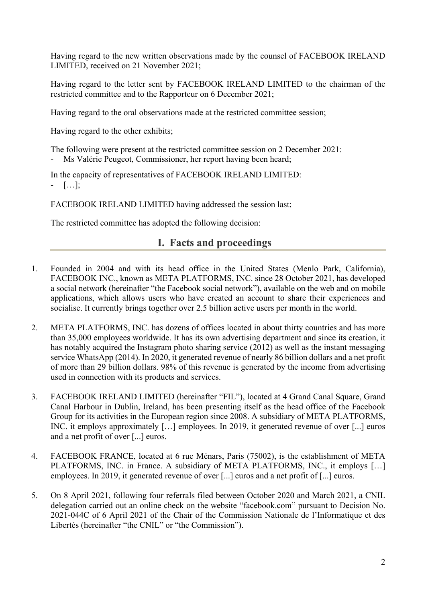Having regard to the new written observations made by the counsel of FACEBOOK IRELAND LIMITED, received on 21 November 2021;

Having regard to the letter sent by FACEBOOK IRELAND LIMITED to the chairman of the restricted committee and to the Rapporteur on 6 December 2021;

Having regard to the oral observations made at the restricted committee session;

Having regard to the other exhibits;

The following were present at the restricted committee session on 2 December 2021: Ms Valérie Peugeot, Commissioner, her report having been heard;

In the capacity of representatives of FACEBOOK IRELAND LIMITED:

- […];

FACEBOOK IRELAND LIMITED having addressed the session last;

The restricted committee has adopted the following decision:

## **I. Facts and proceedings**

- 1. Founded in 2004 and with its head office in the United States (Menlo Park, California), FACEBOOK INC., known as META PLATFORMS, INC. since 28 October 2021, has developed a social network (hereinafter "the Facebook social network"), available on the web and on mobile applications, which allows users who have created an account to share their experiences and socialise. It currently brings together over 2.5 billion active users per month in the world.
- 2. META PLATFORMS, INC. has dozens of offices located in about thirty countries and has more than 35,000 employees worldwide. It has its own advertising department and since its creation, it has notably acquired the Instagram photo sharing service (2012) as well as the instant messaging service WhatsApp (2014). In 2020, it generated revenue of nearly 86 billion dollars and a net profit of more than 29 billion dollars. 98% of this revenue is generated by the income from advertising used in connection with its products and services.
- 3. FACEBOOK IRELAND LIMITED (hereinafter "FIL"), located at 4 Grand Canal Square, Grand Canal Harbour in Dublin, Ireland, has been presenting itself as the head office of the Facebook Group for its activities in the European region since 2008. A subsidiary of META PLATFORMS, INC. it employs approximately […] employees. In 2019, it generated revenue of over [...] euros and a net profit of over [...] euros.
- 4. FACEBOOK FRANCE, located at 6 rue Ménars, Paris (75002), is the establishment of META PLATFORMS, INC. in France. A subsidiary of META PLATFORMS, INC., it employs […] employees. In 2019, it generated revenue of over [...] euros and a net profit of [...] euros.
- 5. On 8 April 2021, following four referrals filed between October 2020 and March 2021, a CNIL delegation carried out an online check on the website "facebook.com" pursuant to Decision No. 2021-044C of 6 April 2021 of the Chair of the Commission Nationale de l'Informatique et des Libertés (hereinafter "the CNIL" or "the Commission").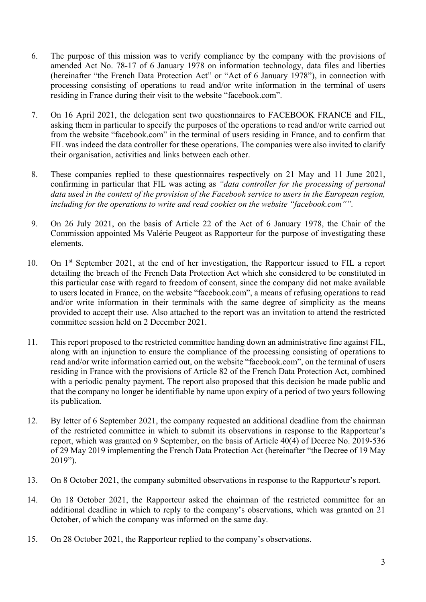- 6. The purpose of this mission was to verify compliance by the company with the provisions of amended Act No. 78-17 of 6 January 1978 on information technology, data files and liberties (hereinafter "the French Data Protection Act" or "Act of 6 January 1978"), in connection with processing consisting of operations to read and/or write information in the terminal of users residing in France during their visit to the website "facebook.com".
- 7. On 16 April 2021, the delegation sent two questionnaires to FACEBOOK FRANCE and FIL, asking them in particular to specify the purposes of the operations to read and/or write carried out from the website "facebook.com" in the terminal of users residing in France, and to confirm that FIL was indeed the data controller for these operations. The companies were also invited to clarify their organisation, activities and links between each other.
- 8. These companies replied to these questionnaires respectively on 21 May and 11 June 2021, confirming in particular that FIL was acting as *"data controller for the processing of personal data used in the context of the provision of the Facebook service to users in the European region, including for the operations to write and read cookies on the website "facebook.com"".*
- 9. On 26 July 2021, on the basis of Article 22 of the Act of 6 January 1978, the Chair of the Commission appointed Ms Valérie Peugeot as Rapporteur for the purpose of investigating these elements.
- 10. On 1st September 2021, at the end of her investigation, the Rapporteur issued to FIL a report detailing the breach of the French Data Protection Act which she considered to be constituted in this particular case with regard to freedom of consent, since the company did not make available to users located in France, on the website "facebook.com", a means of refusing operations to read and/or write information in their terminals with the same degree of simplicity as the means provided to accept their use. Also attached to the report was an invitation to attend the restricted committee session held on 2 December 2021.
- 11. This report proposed to the restricted committee handing down an administrative fine against FIL, along with an injunction to ensure the compliance of the processing consisting of operations to read and/or write information carried out, on the website "facebook.com", on the terminal of users residing in France with the provisions of Article 82 of the French Data Protection Act, combined with a periodic penalty payment. The report also proposed that this decision be made public and that the company no longer be identifiable by name upon expiry of a period of two years following its publication.
- 12. By letter of 6 September 2021, the company requested an additional deadline from the chairman of the restricted committee in which to submit its observations in response to the Rapporteur's report, which was granted on 9 September, on the basis of Article 40(4) of Decree No. 2019-536 of 29 May 2019 implementing the French Data Protection Act (hereinafter "the Decree of 19 May 2019").
- 13. On 8 October 2021, the company submitted observations in response to the Rapporteur's report.
- 14. On 18 October 2021, the Rapporteur asked the chairman of the restricted committee for an additional deadline in which to reply to the company's observations, which was granted on 21 October, of which the company was informed on the same day.
- 15. On 28 October 2021, the Rapporteur replied to the company's observations.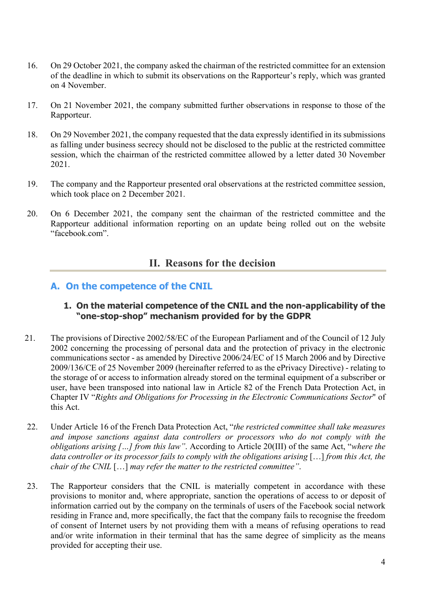- 16. On 29 October 2021, the company asked the chairman of the restricted committee for an extension of the deadline in which to submit its observations on the Rapporteur's reply, which was granted on 4 November.
- 17. On 21 November 2021, the company submitted further observations in response to those of the Rapporteur.
- 18. On 29 November 2021, the company requested that the data expressly identified in its submissions as falling under business secrecy should not be disclosed to the public at the restricted committee session, which the chairman of the restricted committee allowed by a letter dated 30 November 2021.
- 19. The company and the Rapporteur presented oral observations at the restricted committee session, which took place on 2 December 2021.
- 20. On 6 December 2021, the company sent the chairman of the restricted committee and the Rapporteur additional information reporting on an update being rolled out on the website "facebook.com".

# **II. Reasons for the decision**

### **A. On the competence of the CNIL**

#### **1. On the material competence of the CNIL and the non-applicability of the "one-stop-shop" mechanism provided for by the GDPR**

- 21. The provisions of Directive 2002/58/EC of the European Parliament and of the Council of 12 July 2002 concerning the processing of personal data and the protection of privacy in the electronic communications sector - as amended by Directive 2006/24/EC of 15 March 2006 and by Directive 2009/136/CE of 25 November 2009 (hereinafter referred to as the ePrivacy Directive) - relating to the storage of or access to information already stored on the terminal equipment of a subscriber or user, have been transposed into national law in Article 82 of the French Data Protection Act, in Chapter IV "*Rights and Obligations for Processing in the Electronic Communications Sector*" of this Act.
- 22. Under Article 16 of the French Data Protection Act, "*the restricted committee shall take measures and impose sanctions against data controllers or processors who do not comply with the obligations arising […] from this law"*. According to Article 20(III) of the same Act, "*where the data controller or its processor fails to comply with the obligations arising* […] *from this Act, the chair of the CNIL* […] *may refer the matter to the restricted committee"*.
- 23. The Rapporteur considers that the CNIL is materially competent in accordance with these provisions to monitor and, where appropriate, sanction the operations of access to or deposit of information carried out by the company on the terminals of users of the Facebook social network residing in France and, more specifically, the fact that the company fails to recognise the freedom of consent of Internet users by not providing them with a means of refusing operations to read and/or write information in their terminal that has the same degree of simplicity as the means provided for accepting their use.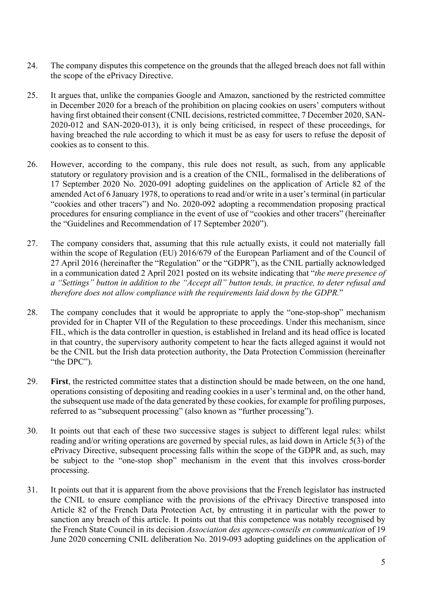- 24. The company disputes this competence on the grounds that the alleged breach does not fall within the scope of the ePrivacy Directive.
- 25. It argues that, unlike the companies Google and Amazon, sanctioned by the restricted committee in December 2020 for a breach of the prohibition on placing cookies on users' computers without having first obtained their consent (CNIL decisions, restricted committee, 7 December 2020, SAN-2020-012 and SAN-2020-013), it is only being criticised, in respect of these proceedings, for having breached the rule according to which it must be as easy for users to refuse the deposit of cookies as to consent to this.
- 26. However, according to the company, this rule does not result, as such, from any applicable statutory or regulatory provision and is a creation of the CNIL, formalised in the deliberations of 17 September 2020 No. 2020-091 adopting guidelines on the application of Article 82 of the amended Act of 6 January 1978, to operations to read and/or write in a user's terminal (in particular "cookies and other tracers") and No. 2020-092 adopting a recommendation proposing practical procedures for ensuring compliance in the event of use of "cookies and other tracers" (hereinafter the "Guidelines and Recommendation of 17 September 2020").
- 27. The company considers that, assuming that this rule actually exists, it could not materially fall within the scope of Regulation (EU) 2016/679 of the European Parliament and of the Council of 27 April 2016 (hereinafter the "Regulation" or the "GDPR"), as the CNIL partially acknowledged in a communication dated 2 April 2021 posted on its website indicating that "*the mere presence of a "Settings" button in addition to the "Accept all" button tends, in practice, to deter refusal and therefore does not allow compliance with the requirements laid down by the GDPR.*"
- 28. The company concludes that it would be appropriate to apply the "one-stop-shop" mechanism provided for in Chapter VII of the Regulation to these proceedings. Under this mechanism, since FIL, which is the data controller in question, is established in Ireland and its head office is located in that country, the supervisory authority competent to hear the facts alleged against it would not be the CNIL but the Irish data protection authority, the Data Protection Commission (hereinafter "the DPC").
- 29. **First**, the restricted committee states that a distinction should be made between, on the one hand, operations consisting of depositing and reading cookies in a user's terminal and, on the other hand, the subsequent use made of the data generated by these cookies, for example for profiling purposes, referred to as "subsequent processing" (also known as "further processing").
- 30. It points out that each of these two successive stages is subject to different legal rules: whilst reading and/or writing operations are governed by special rules, as laid down in Article 5(3) of the ePrivacy Directive, subsequent processing falls within the scope of the GDPR and, as such, may be subject to the "one-stop shop" mechanism in the event that this involves cross-border processing.
- 31. It points out that it is apparent from the above provisions that the French legislator has instructed the CNIL to ensure compliance with the provisions of the ePrivacy Directive transposed into Article 82 of the French Data Protection Act, by entrusting it in particular with the power to sanction any breach of this article. It points out that this competence was notably recognised by the French State Council in its decision *Association des agences-conseils en communication* of 19 June 2020 concerning CNIL deliberation No. 2019-093 adopting guidelines on the application of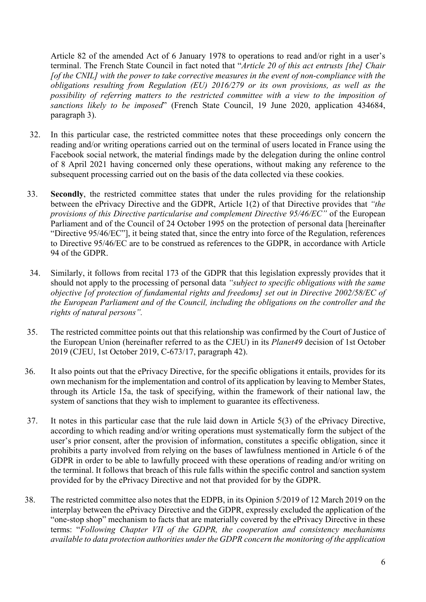Article 82 of the amended Act of 6 January 1978 to operations to read and/or right in a user's terminal. The French State Council in fact noted that "*Article 20 of this act entrusts [the] Chair [of the CNIL] with the power to take corrective measures in the event of non-compliance with the obligations resulting from Regulation (EU) 2016/279 or its own provisions, as well as the possibility of referring matters to the restricted committee with a view to the imposition of sanctions likely to be imposed*" (French State Council, 19 June 2020, application 434684, paragraph 3).

- 32. In this particular case, the restricted committee notes that these proceedings only concern the reading and/or writing operations carried out on the terminal of users located in France using the Facebook social network, the material findings made by the delegation during the online control of 8 April 2021 having concerned only these operations, without making any reference to the subsequent processing carried out on the basis of the data collected via these cookies.
- 33. **Secondly**, the restricted committee states that under the rules providing for the relationship between the ePrivacy Directive and the GDPR, Article 1(2) of that Directive provides that *"the provisions of this Directive particularise and complement Directive 95/46/EC"* of the European Parliament and of the Council of 24 October 1995 on the protection of personal data [hereinafter "Directive 95/46/EC"], it being stated that, since the entry into force of the Regulation, references to Directive 95/46/EC are to be construed as references to the GDPR, in accordance with Article 94 of the GDPR.
- 34. Similarly, it follows from recital 173 of the GDPR that this legislation expressly provides that it should not apply to the processing of personal data *"subject to specific obligations with the same objective [of protection of fundamental rights and freedoms] set out in Directive 2002/58/EC of the European Parliament and of the Council, including the obligations on the controller and the rights of natural persons".*
- 35. The restricted committee points out that this relationship was confirmed by the Court of Justice of the European Union (hereinafter referred to as the CJEU) in its *Planet49* decision of 1st October 2019 (CJEU, 1st October 2019, C-673/17, paragraph 42).
- 36. It also points out that the ePrivacy Directive, for the specific obligations it entails, provides for its own mechanism for the implementation and control of its application by leaving to Member States, through its Article 15a, the task of specifying, within the framework of their national law, the system of sanctions that they wish to implement to guarantee its effectiveness.
- 37. It notes in this particular case that the rule laid down in Article 5(3) of the ePrivacy Directive, according to which reading and/or writing operations must systematically form the subject of the user's prior consent, after the provision of information, constitutes a specific obligation, since it prohibits a party involved from relying on the bases of lawfulness mentioned in Article 6 of the GDPR in order to be able to lawfully proceed with these operations of reading and/or writing on the terminal. It follows that breach of this rule falls within the specific control and sanction system provided for by the ePrivacy Directive and not that provided for by the GDPR.
- 38. The restricted committee also notes that the EDPB, in its Opinion 5/2019 of 12 March 2019 on the interplay between the ePrivacy Directive and the GDPR, expressly excluded the application of the "one-stop shop" mechanism to facts that are materially covered by the ePrivacy Directive in these terms: "*Following Chapter VII of the GDPR, the cooperation and consistency mechanisms available to data protection authorities under the GDPR concern the monitoring of the application*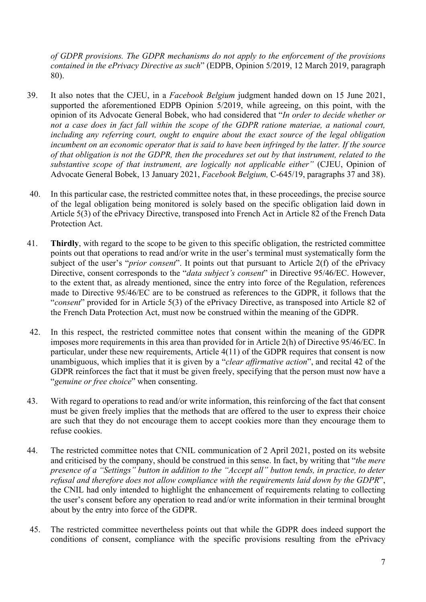*of GDPR provisions. The GDPR mechanisms do not apply to the enforcement of the provisions contained in the ePrivacy Directive as such*" (EDPB, Opinion 5/2019, 12 March 2019, paragraph 80).

- 39. It also notes that the CJEU, in a *Facebook Belgium* judgment handed down on 15 June 2021, supported the aforementioned EDPB Opinion 5/2019, while agreeing, on this point, with the opinion of its Advocate General Bobek, who had considered that "*In order to decide whether or not a case does in fact fall within the scope of the GDPR ratione materiae, a national court, including any referring court, ought to enquire about the exact source of the legal obligation incumbent on an economic operator that is said to have been infringed by the latter. If the source of that obligation is not the GDPR, then the procedures set out by that instrument, related to the substantive scope of that instrument, are logically not applicable either"* (CJEU, Opinion of Advocate General Bobek, 13 January 2021, *Facebook Belgium,* C-645/19, paragraphs 37 and 38).
- 40. In this particular case, the restricted committee notes that, in these proceedings, the precise source of the legal obligation being monitored is solely based on the specific obligation laid down in Article 5(3) of the ePrivacy Directive, transposed into French Act in Article 82 of the French Data Protection Act.
- 41. **Thirdly**, with regard to the scope to be given to this specific obligation, the restricted committee points out that operations to read and/or write in the user's terminal must systematically form the subject of the user's "*prior consent*". It points out that pursuant to Article 2(f) of the ePrivacy Directive, consent corresponds to the "*data subject's consent*" in Directive 95/46/EC. However, to the extent that, as already mentioned, since the entry into force of the Regulation, references made to Directive 95/46/EC are to be construed as references to the GDPR, it follows that the "*consent*" provided for in Article 5(3) of the ePrivacy Directive, as transposed into Article 82 of the French Data Protection Act, must now be construed within the meaning of the GDPR.
- 42. In this respect, the restricted committee notes that consent within the meaning of the GDPR imposes more requirements in this area than provided for in Article 2(h) of Directive 95/46/EC. In particular, under these new requirements, Article 4(11) of the GDPR requires that consent is now unambiguous, which implies that it is given by a "*clear affirmative action*", and recital 42 of the GDPR reinforces the fact that it must be given freely, specifying that the person must now have a "*genuine or free choice*" when consenting.
- 43. With regard to operations to read and/or write information, this reinforcing of the fact that consent must be given freely implies that the methods that are offered to the user to express their choice are such that they do not encourage them to accept cookies more than they encourage them to refuse cookies.
- 44. The restricted committee notes that CNIL communication of 2 April 2021, posted on its website and criticised by the company, should be construed in this sense. In fact, by writing that "*the mere presence of a "Settings" button in addition to the "Accept all" button tends, in practice, to deter refusal and therefore does not allow compliance with the requirements laid down by the GDPR*", the CNIL had only intended to highlight the enhancement of requirements relating to collecting the user's consent before any operation to read and/or write information in their terminal brought about by the entry into force of the GDPR.
- 45. The restricted committee nevertheless points out that while the GDPR does indeed support the conditions of consent, compliance with the specific provisions resulting from the ePrivacy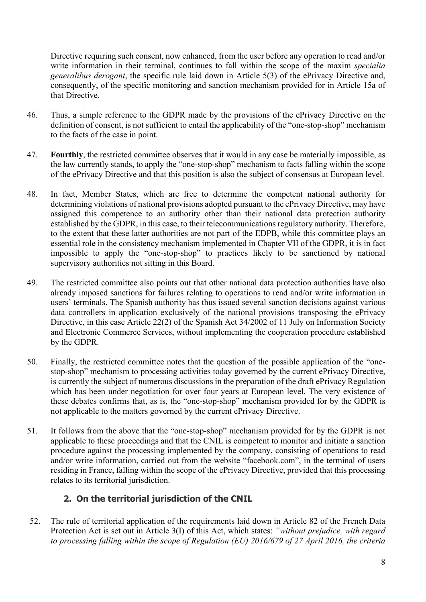Directive requiring such consent, now enhanced, from the user before any operation to read and/or write information in their terminal, continues to fall within the scope of the maxim *specialia generalibus derogant*, the specific rule laid down in Article 5(3) of the ePrivacy Directive and, consequently, of the specific monitoring and sanction mechanism provided for in Article 15a of that Directive.

- 46. Thus, a simple reference to the GDPR made by the provisions of the ePrivacy Directive on the definition of consent, is not sufficient to entail the applicability of the "one-stop-shop" mechanism to the facts of the case in point.
- 47. **Fourthly**, the restricted committee observes that it would in any case be materially impossible, as the law currently stands, to apply the "one-stop-shop" mechanism to facts falling within the scope of the ePrivacy Directive and that this position is also the subject of consensus at European level.
- 48. In fact, Member States, which are free to determine the competent national authority for determining violations of national provisions adopted pursuant to the ePrivacy Directive, may have assigned this competence to an authority other than their national data protection authority established by the GDPR, in this case, to their telecommunications regulatory authority. Therefore, to the extent that these latter authorities are not part of the EDPB, while this committee plays an essential role in the consistency mechanism implemented in Chapter VII of the GDPR, it is in fact impossible to apply the "one-stop-shop" to practices likely to be sanctioned by national supervisory authorities not sitting in this Board.
- 49. The restricted committee also points out that other national data protection authorities have also already imposed sanctions for failures relating to operations to read and/or write information in users' terminals. The Spanish authority has thus issued several sanction decisions against various data controllers in application exclusively of the national provisions transposing the ePrivacy Directive, in this case Article 22(2) of the Spanish Act 34/2002 of 11 July on Information Society and Electronic Commerce Services, without implementing the cooperation procedure established by the GDPR.
- 50. Finally, the restricted committee notes that the question of the possible application of the "onestop-shop" mechanism to processing activities today governed by the current ePrivacy Directive, is currently the subject of numerous discussions in the preparation of the draft ePrivacy Regulation which has been under negotiation for over four years at European level. The very existence of these debates confirms that, as is, the "one-stop-shop" mechanism provided for by the GDPR is not applicable to the matters governed by the current ePrivacy Directive.
- 51. It follows from the above that the "one-stop-shop" mechanism provided for by the GDPR is not applicable to these proceedings and that the CNIL is competent to monitor and initiate a sanction procedure against the processing implemented by the company, consisting of operations to read and/or write information, carried out from the website "facebook.com", in the terminal of users residing in France, falling within the scope of the ePrivacy Directive, provided that this processing relates to its territorial jurisdiction.

## **2. On the territorial jurisdiction of the CNIL**

52. The rule of territorial application of the requirements laid down in Article 82 of the French Data Protection Act is set out in Article 3(I) of this Act, which states: *"without prejudice, with regard to processing falling within the scope of Regulation (EU) 2016/679 of 27 April 2016, the criteria*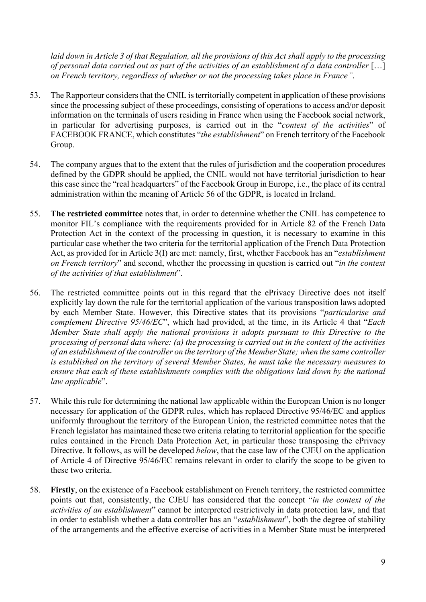*laid down in Article 3 of that Regulation, all the provisions of this Act shall apply to the processing of personal data carried out as part of the activities of an establishment of a data controller* […] *on French territory, regardless of whether or not the processing takes place in France"*.

- 53. The Rapporteur considers that the CNIL is territorially competent in application of these provisions since the processing subject of these proceedings, consisting of operations to access and/or deposit information on the terminals of users residing in France when using the Facebook social network, in particular for advertising purposes, is carried out in the "*context of the activities*" of FACEBOOK FRANCE, which constitutes "*the establishment*" on French territory of the Facebook Group.
- 54. The company argues that to the extent that the rules of jurisdiction and the cooperation procedures defined by the GDPR should be applied, the CNIL would not have territorial jurisdiction to hear this case since the "real headquarters" of the Facebook Group in Europe, i.e., the place of its central administration within the meaning of Article 56 of the GDPR, is located in Ireland.
- 55. **The restricted committee** notes that, in order to determine whether the CNIL has competence to monitor FIL's compliance with the requirements provided for in Article 82 of the French Data Protection Act in the context of the processing in question, it is necessary to examine in this particular case whether the two criteria for the territorial application of the French Data Protection Act, as provided for in Article 3(I) are met: namely, first, whether Facebook has an "*establishment on French territory*" and second, whether the processing in question is carried out "*in the context of the activities of that establishment*".
- 56. The restricted committee points out in this regard that the ePrivacy Directive does not itself explicitly lay down the rule for the territorial application of the various transposition laws adopted by each Member State. However, this Directive states that its provisions "*particularise and complement Directive 95/46/EC*", which had provided, at the time, in its Article 4 that "*Each Member State shall apply the national provisions it adopts pursuant to this Directive to the processing of personal data where: (a) the processing is carried out in the context of the activities of an establishment of the controller on the territory of the Member State; when the same controller is established on the territory of several Member States, he must take the necessary measures to ensure that each of these establishments complies with the obligations laid down by the national law applicable*".
- 57. While this rule for determining the national law applicable within the European Union is no longer necessary for application of the GDPR rules, which has replaced Directive 95/46/EC and applies uniformly throughout the territory of the European Union, the restricted committee notes that the French legislator has maintained these two criteria relating to territorial application for the specific rules contained in the French Data Protection Act, in particular those transposing the ePrivacy Directive. It follows, as will be developed *below*, that the case law of the CJEU on the application of Article 4 of Directive 95/46/EC remains relevant in order to clarify the scope to be given to these two criteria.
- 58. **Firstly**, on the existence of a Facebook establishment on French territory, the restricted committee points out that, consistently, the CJEU has considered that the concept "*in the context of the activities of an establishment*" cannot be interpreted restrictively in data protection law, and that in order to establish whether a data controller has an "*establishment*", both the degree of stability of the arrangements and the effective exercise of activities in a Member State must be interpreted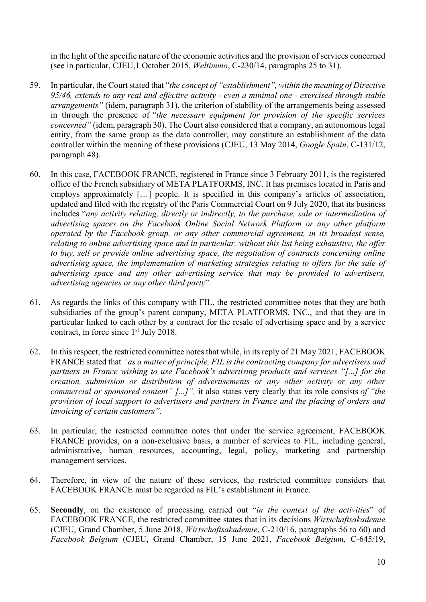in the light of the specific nature of the economic activities and the provision of services concerned (see in particular, CJEU,1 October 2015, *Weltimmo*, C-230/14, paragraphs 25 to 31).

- 59. In particular, the Court stated that "*the concept of "establishment", within the meaning of Directive 95/46, extends to any real and effective activity - even a minimal one - exercised through stable arrangements"* (idem, paragraph 31), the criterion of stability of the arrangements being assessed in through the presence of *"the necessary equipment for provision of the specific services concerned"* (idem, paragraph 30). The Court also considered that a company, an autonomous legal entity, from the same group as the data controller, may constitute an establishment of the data controller within the meaning of these provisions (CJEU, 13 May 2014, *Google Spain*, C-131/12, paragraph 48).
- 60. In this case, FACEBOOK FRANCE, registered in France since 3 February 2011, is the registered office of the French subsidiary of META PLATFORMS, INC. It has premises located in Paris and employs approximately [...] people. It is specified in this company's articles of association, updated and filed with the registry of the Paris Commercial Court on 9 July 2020, that its business includes "*any activity relating, directly or indirectly, to the purchase, sale or intermediation of advertising spaces on the Facebook Online Social Network Platform or any other platform operated by the Facebook group, or any other commercial agreement, in its broadest sense, relating to online advertising space and in particular, without this list being exhaustive, the offer to buy, sell or provide online advertising space, the negotiation of contracts concerning online advertising space, the implementation of marketing strategies relating to offers for the sale of advertising space and any other advertising service that may be provided to advertisers, advertising agencies or any other third party*".
- 61. As regards the links of this company with FIL, the restricted committee notes that they are both subsidiaries of the group's parent company, META PLATFORMS, INC., and that they are in particular linked to each other by a contract for the resale of advertising space and by a service contract, in force since 1<sup>st</sup> July 2018.
- 62. In this respect, the restricted committee notes that while, in its reply of 21 May 2021, FACEBOOK FRANCE stated that *"as a matter of principle, FIL is the contracting company for advertisers and partners in France wishing to use Facebook's advertising products and services "[...] for the creation, submission or distribution of advertisements or any other activity or any other commercial or sponsored content" [...]",* it also states very clearly that its role consists *of "the provision of local support to advertisers and partners in France and the placing of orders and invoicing of certain customers".*
- 63. In particular, the restricted committee notes that under the service agreement, FACEBOOK FRANCE provides, on a non-exclusive basis, a number of services to FIL, including general, administrative, human resources, accounting, legal, policy, marketing and partnership management services.
- 64. Therefore, in view of the nature of these services, the restricted committee considers that FACEBOOK FRANCE must be regarded as FIL's establishment in France.
- 65. **Secondly**, on the existence of processing carried out "*in the context of the activities*" of FACEBOOK FRANCE, the restricted committee states that in its decisions *Wirtschaftsakademie*  (CJEU, Grand Chamber, 5 June 2018, *Wirtschaftsakademie*, C-210/16, paragraphs 56 to 60) and *Facebook Belgium* (CJEU, Grand Chamber, 15 June 2021, *Facebook Belgium,* C-645/19,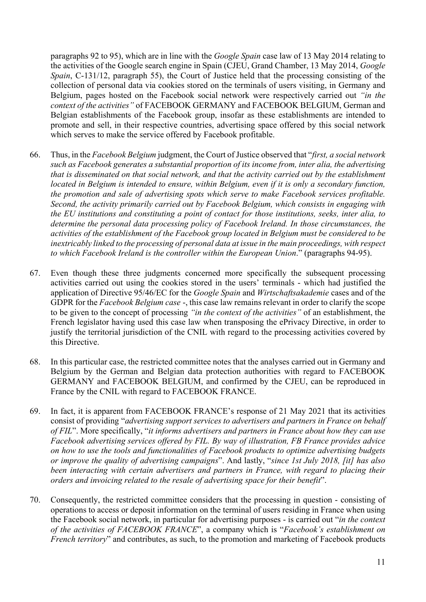paragraphs 92 to 95), which are in line with the *Google Spain* case law of 13 May 2014 relating to the activities of the Google search engine in Spain (CJEU, Grand Chamber, 13 May 2014, *Google Spain*, C-131/12, paragraph 55), the Court of Justice held that the processing consisting of the collection of personal data via cookies stored on the terminals of users visiting, in Germany and Belgium, pages hosted on the Facebook social network were respectively carried out *"in the context of the activities"* of FACEBOOK GERMANY and FACEBOOK BELGIUM, German and Belgian establishments of the Facebook group, insofar as these establishments are intended to promote and sell, in their respective countries, advertising space offered by this social network which serves to make the service offered by Facebook profitable.

- 66. Thus, in the *Facebook Belgium* judgment, the Court of Justice observed that "*first, a social network such as Facebook generates a substantial proportion of its income from, inter alia, the advertising that is disseminated on that social network, and that the activity carried out by the establishment located in Belgium is intended to ensure, within Belgium, even if it is only a secondary function, the promotion and sale of advertising spots which serve to make Facebook services profitable. Second, the activity primarily carried out by Facebook Belgium, which consists in engaging with the EU institutions and constituting a point of contact for those institutions, seeks, inter alia, to determine the personal data processing policy of Facebook Ireland. In those circumstances, the activities of the establishment of the Facebook group located in Belgium must be considered to be inextricably linked to the processing of personal data at issue in the main proceedings, with respect to which Facebook Ireland is the controller within the European Union*." (paragraphs 94-95).
- 67. Even though these three judgments concerned more specifically the subsequent processing activities carried out using the cookies stored in the users' terminals - which had justified the application of Directive 95/46/EC for the *Google Spain* and *Wirtschaftsakademie* cases and of the GDPR for the *Facebook Belgium case* -, this case law remains relevant in order to clarify the scope to be given to the concept of processing *"in the context of the activities"* of an establishment, the French legislator having used this case law when transposing the ePrivacy Directive, in order to justify the territorial jurisdiction of the CNIL with regard to the processing activities covered by this Directive.
- 68. In this particular case, the restricted committee notes that the analyses carried out in Germany and Belgium by the German and Belgian data protection authorities with regard to FACEBOOK GERMANY and FACEBOOK BELGIUM, and confirmed by the CJEU, can be reproduced in France by the CNIL with regard to FACEBOOK FRANCE.
- 69. In fact, it is apparent from FACEBOOK FRANCE's response of 21 May 2021 that its activities consist of providing "*advertising support services to advertisers and partners in France on behalf of FIL*". More specifically, "*it informs advertisers and partners in France about how they can use Facebook advertising services offered by FIL. By way of illustration, FB France provides advice on how to use the tools and functionalities of Facebook products to optimize advertising budgets or improve the quality of advertising campaigns*". And lastly, "*since 1st July 2018, [it] has also been interacting with certain advertisers and partners in France, with regard to placing their orders and invoicing related to the resale of advertising space for their benefit*".
- 70. Consequently, the restricted committee considers that the processing in question consisting of operations to access or deposit information on the terminal of users residing in France when using the Facebook social network, in particular for advertising purposes - is carried out "*in the context of the activities of FACEBOOK FRANCE*", a company which is "*Facebook's establishment on French territory*" and contributes, as such, to the promotion and marketing of Facebook products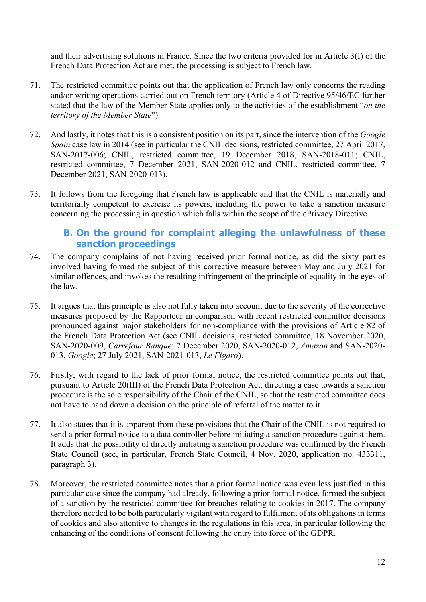and their advertising solutions in France. Since the two criteria provided for in Article 3(I) of the French Data Protection Act are met, the processing is subject to French law.

- 71. The restricted committee points out that the application of French law only concerns the reading and/or writing operations carried out on French territory (Article 4 of Directive 95/46/EC further stated that the law of the Member State applies only to the activities of the establishment "*on the territory of the Member State*").
- 72. And lastly, it notes that this is a consistent position on its part, since the intervention of the *Google Spain case law in 2014 (see in particular the CNIL decisions, restricted committee, 27 April 2017,* SAN-2017-006; CNIL, restricted committee, 19 December 2018, SAN-2018-011; CNIL, restricted committee, 7 December 2021, SAN-2020-012 and CNIL, restricted committee, 7 December 2021, SAN-2020-013).
- 73. It follows from the foregoing that French law is applicable and that the CNIL is materially and territorially competent to exercise its powers, including the power to take a sanction measure concerning the processing in question which falls within the scope of the ePrivacy Directive.

# **B. On the ground for complaint alleging the unlawfulness of these sanction proceedings**

- 74. The company complains of not having received prior formal notice, as did the sixty parties involved having formed the subject of this corrective measure between May and July 2021 for similar offences, and invokes the resulting infringement of the principle of equality in the eyes of the law.
- 75. It argues that this principle is also not fully taken into account due to the severity of the corrective measures proposed by the Rapporteur in comparison with recent restricted committee decisions pronounced against major stakeholders for non-compliance with the provisions of Article 82 of the French Data Protection Act (see CNIL decisions, restricted committee, 18 November 2020, SAN-2020-009, *Carrefour Banque*; 7 December 2020, SAN-2020-012, *Amazon* and SAN-2020- 013, *Google*; 27 July 2021, SAN-2021-013, *Le Figaro*).
- 76. Firstly, with regard to the lack of prior formal notice, the restricted committee points out that, pursuant to Article 20(III) of the French Data Protection Act, directing a case towards a sanction procedure is the sole responsibility of the Chair of the CNIL, so that the restricted committee does not have to hand down a decision on the principle of referral of the matter to it.
- 77. It also states that it is apparent from these provisions that the Chair of the CNIL is not required to send a prior formal notice to a data controller before initiating a sanction procedure against them. It adds that the possibility of directly initiating a sanction procedure was confirmed by the French State Council (see, in particular, French State Council, 4 Nov. 2020, application no. 433311, paragraph 3).
- 78. Moreover, the restricted committee notes that a prior formal notice was even less justified in this particular case since the company had already, following a prior formal notice, formed the subject of a sanction by the restricted committee for breaches relating to cookies in 2017. The company therefore needed to be both particularly vigilant with regard to fulfilment of its obligations in terms of cookies and also attentive to changes in the regulations in this area, in particular following the enhancing of the conditions of consent following the entry into force of the GDPR.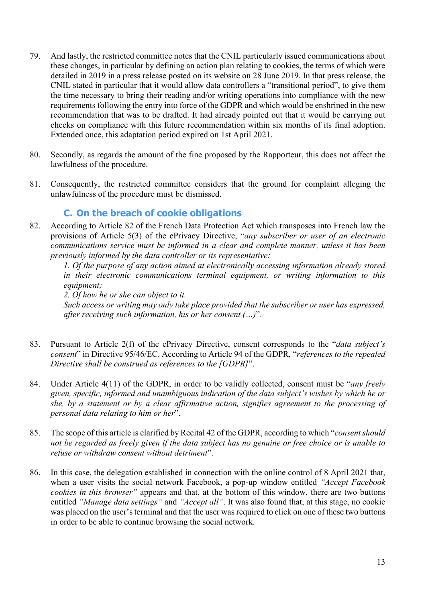- 79. And lastly, the restricted committee notes that the CNIL particularly issued communications about these changes, in particular by defining an action plan relating to cookies, the terms of which were detailed in 2019 in a press release posted on its website on 28 June 2019. In that press release, the CNIL stated in particular that it would allow data controllers a "transitional period", to give them the time necessary to bring their reading and/or writing operations into compliance with the new requirements following the entry into force of the GDPR and which would be enshrined in the new recommendation that was to be drafted. It had already pointed out that it would be carrying out checks on compliance with this future recommendation within six months of its final adoption. Extended once, this adaptation period expired on 1st April 2021.
- 80. Secondly, as regards the amount of the fine proposed by the Rapporteur, this does not affect the lawfulness of the procedure.
- 81. Consequently, the restricted committee considers that the ground for complaint alleging the unlawfulness of the procedure must be dismissed.

### **C. On the breach of cookie obligations**

82. According to Article 82 of the French Data Protection Act which transposes into French law the provisions of Article 5(3) of the ePrivacy Directive, "*any subscriber or user of an electronic communications service must be informed in a clear and complete manner, unless it has been previously informed by the data controller or its representative:* 

*1. Of the purpose of any action aimed at electronically accessing information already stored in their electronic communications terminal equipment, or writing information to this equipment;* 

*2. Of how he or she can object to it.*

*Such access or writing may only take place provided that the subscriber or user has expressed, after receiving such information, his or her consent (…)*".

- 83. Pursuant to Article 2(f) of the ePrivacy Directive, consent corresponds to the "*data subject's consent*" in Directive 95/46/EC. According to Article 94 of the GDPR, "*references to the repealed Directive shall be construed as references to the [GDPR]*".
- 84. Under Article 4(11) of the GDPR, in order to be validly collected, consent must be "*any freely given, specific, informed and unambiguous indication of the data subject's wishes by which he or she, by a statement or by a clear affirmative action, signifies agreement to the processing of personal data relating to him or her*".
- 85. The scope of this article is clarified by Recital 42 of the GDPR, according to which "*consent should not be regarded as freely given if the data subject has no genuine or free choice or is unable to refuse or withdraw consent without detriment*".
- 86. In this case, the delegation established in connection with the online control of 8 April 2021 that, when a user visits the social network Facebook, a pop-up window entitled *"Accept Facebook cookies in this browser"* appears and that, at the bottom of this window, there are two buttons entitled *"Manage data settings"* and *"Accept all"*. It was also found that, at this stage, no cookie was placed on the user's terminal and that the user was required to click on one of these two buttons in order to be able to continue browsing the social network.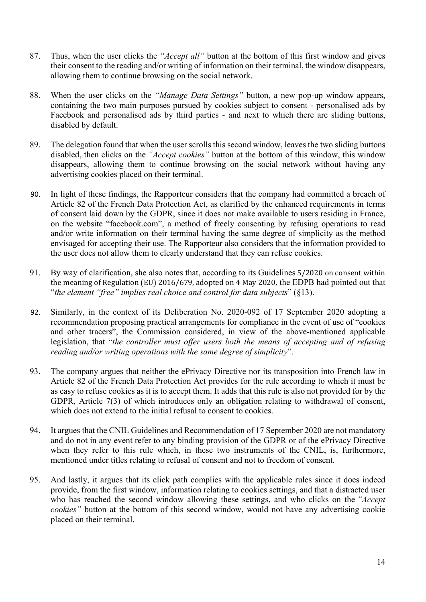- 87. Thus, when the user clicks the *"Accept all"* button at the bottom of this first window and gives their consent to the reading and/or writing of information on their terminal, the window disappears, allowing them to continue browsing on the social network.
- 88. When the user clicks on the *"Manage Data Settings"* button, a new pop-up window appears, containing the two main purposes pursued by cookies subject to consent - personalised ads by Facebook and personalised ads by third parties - and next to which there are sliding buttons, disabled by default.
- 89. The delegation found that when the user scrolls this second window, leaves the two sliding buttons disabled, then clicks on the *"Accept cookies"* button at the bottom of this window, this window disappears, allowing them to continue browsing on the social network without having any advertising cookies placed on their terminal.
- 90. In light of these findings, the Rapporteur considers that the company had committed a breach of Article 82 of the French Data Protection Act, as clarified by the enhanced requirements in terms of consent laid down by the GDPR, since it does not make available to users residing in France, on the website "facebook.com", a method of freely consenting by refusing operations to read and/or write information on their terminal having the same degree of simplicity as the method envisaged for accepting their use. The Rapporteur also considers that the information provided to the user does not allow them to clearly understand that they can refuse cookies.
- 91. By way of clarification, she also notes that, according to its Guidelines 5/2020 on consent within the meaning of Regulation (EU) 2016/679, adopted on 4 May 2020, the EDPB had pointed out that "*the element "free" implies real choice and control for data subjects*" (§13).
- 92. Similarly, in the context of its Deliberation No. 2020-092 of 17 September 2020 adopting a recommendation proposing practical arrangements for compliance in the event of use of "cookies and other tracers", the Commission considered, in view of the above-mentioned applicable legislation, that "*the controller must offer users both the means of accepting and of refusing reading and/or writing operations with the same degree of simplicity*".
- 93. The company argues that neither the ePrivacy Directive nor its transposition into French law in Article 82 of the French Data Protection Act provides for the rule according to which it must be as easy to refuse cookies as it is to accept them. It adds that this rule is also not provided for by the GDPR, Article 7(3) of which introduces only an obligation relating to withdrawal of consent, which does not extend to the initial refusal to consent to cookies.
- 94. It argues that the CNIL Guidelines and Recommendation of 17 September 2020 are not mandatory and do not in any event refer to any binding provision of the GDPR or of the ePrivacy Directive when they refer to this rule which, in these two instruments of the CNIL, is, furthermore, mentioned under titles relating to refusal of consent and not to freedom of consent.
- 95. And lastly, it argues that its click path complies with the applicable rules since it does indeed provide, from the first window, information relating to cookies settings, and that a distracted user who has reached the second window allowing these settings, and who clicks on the *"Accept cookies"* button at the bottom of this second window, would not have any advertising cookie placed on their terminal.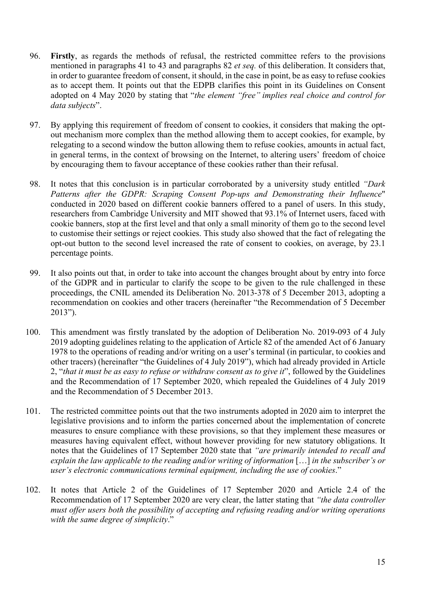- 96. **Firstly**, as regards the methods of refusal, the restricted committee refers to the provisions mentioned in paragraphs 41 to 43 and paragraphs 82 *et seq.* of this deliberation. It considers that, in order to guarantee freedom of consent, it should, in the case in point, be as easy to refuse cookies as to accept them. It points out that the EDPB clarifies this point in its Guidelines on Consent adopted on 4 May 2020 by stating that "*the element "free" implies real choice and control for data subjects*".
- 97. By applying this requirement of freedom of consent to cookies, it considers that making the optout mechanism more complex than the method allowing them to accept cookies, for example, by relegating to a second window the button allowing them to refuse cookies, amounts in actual fact, in general terms, in the context of browsing on the Internet, to altering users' freedom of choice by encouraging them to favour acceptance of these cookies rather than their refusal.
- 98. It notes that this conclusion is in particular corroborated by a university study entitled *"Dark Patterns after the GDPR: Scraping Consent Pop-ups and Demonstrating their Influence*" conducted in 2020 based on different cookie banners offered to a panel of users. In this study, researchers from Cambridge University and MIT showed that 93.1% of Internet users, faced with cookie banners, stop at the first level and that only a small minority of them go to the second level to customise their settings or reject cookies. This study also showed that the fact of relegating the opt-out button to the second level increased the rate of consent to cookies, on average, by 23.1 percentage points.
- 99. It also points out that, in order to take into account the changes brought about by entry into force of the GDPR and in particular to clarify the scope to be given to the rule challenged in these proceedings, the CNIL amended its Deliberation No. 2013-378 of 5 December 2013, adopting a recommendation on cookies and other tracers (hereinafter "the Recommendation of 5 December 2013").
- 100. This amendment was firstly translated by the adoption of Deliberation No. 2019-093 of 4 July 2019 adopting guidelines relating to the application of Article 82 of the amended Act of 6 January 1978 to the operations of reading and/or writing on a user's terminal (in particular, to cookies and other tracers) (hereinafter "the Guidelines of 4 July 2019"), which had already provided in Article 2, "*that it must be as easy to refuse or withdraw consent as to give it*", followed by the Guidelines and the Recommendation of 17 September 2020, which repealed the Guidelines of 4 July 2019 and the Recommendation of 5 December 2013.
- 101. The restricted committee points out that the two instruments adopted in 2020 aim to interpret the legislative provisions and to inform the parties concerned about the implementation of concrete measures to ensure compliance with these provisions, so that they implement these measures or measures having equivalent effect, without however providing for new statutory obligations. It notes that the Guidelines of 17 September 2020 state that *"are primarily intended to recall and explain the law applicable to the reading and/or writing of information* […] *in the subscriber's or user's electronic communications terminal equipment, including the use of cookies*."
- 102. It notes that Article 2 of the Guidelines of 17 September 2020 and Article 2.4 of the Recommendation of 17 September 2020 are very clear, the latter stating that *"the data controller must offer users both the possibility of accepting and refusing reading and/or writing operations with the same degree of simplicity*."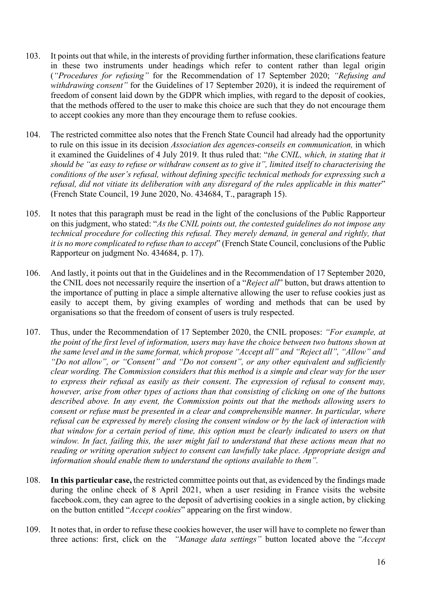- 103. It points out that while, in the interests of providing further information, these clarifications feature in these two instruments under headings which refer to content rather than legal origin (*"Procedures for refusing"* for the Recommendation of 17 September 2020; *"Refusing and withdrawing consent"* for the Guidelines of 17 September 2020), it is indeed the requirement of freedom of consent laid down by the GDPR which implies, with regard to the deposit of cookies, that the methods offered to the user to make this choice are such that they do not encourage them to accept cookies any more than they encourage them to refuse cookies.
- 104. The restricted committee also notes that the French State Council had already had the opportunity to rule on this issue in its decision *Association des agences-conseils en communication,* in which it examined the Guidelines of 4 July 2019. It thus ruled that: "*the CNIL, which, in stating that it should be "as easy to refuse or withdraw consent as to give it", limited itself to characterising the conditions of the user's refusal, without defining specific technical methods for expressing such a refusal, did not vitiate its deliberation with any disregard of the rules applicable in this matter*" (French State Council, 19 June 2020, No. 434684, T., paragraph 15).
- 105. It notes that this paragraph must be read in the light of the conclusions of the Public Rapporteur on this judgment, who stated: "*As the CNIL points out, the contested guidelines do not impose any technical procedure for collecting this refusal. They merely demand, in general and rightly, that it is no more complicated to refuse than to accept*" (French State Council, conclusions of the Public Rapporteur on judgment No. 434684, p. 17).
- 106. And lastly, it points out that in the Guidelines and in the Recommendation of 17 September 2020, the CNIL does not necessarily require the insertion of a "*Reject all*" button, but draws attention to the importance of putting in place a simple alternative allowing the user to refuse cookies just as easily to accept them, by giving examples of wording and methods that can be used by organisations so that the freedom of consent of users is truly respected.
- 107. Thus, under the Recommendation of 17 September 2020, the CNIL proposes: *"For example, at the point of the first level of information, users may have the choice between two buttons shown at the same level and in the same format, which propose "Accept all" and "Reject all", "Allow" and "Do not allow", or "Consent" and "Do not consent", or any other equivalent and sufficiently clear wording. The Commission considers that this method is a simple and clear way for the user to express their refusal as easily as their consent*. *The expression of refusal to consent may, however, arise from other types of actions than that consisting of clicking on one of the buttons described above. In any event, the Commission points out that the methods allowing users to consent or refuse must be presented in a clear and comprehensible manner. In particular, where refusal can be expressed by merely closing the consent window or by the lack of interaction with that window for a certain period of time, this option must be clearly indicated to users on that window. In fact, failing this, the user might fail to understand that these actions mean that no reading or writing operation subject to consent can lawfully take place. Appropriate design and information should enable them to understand the options available to them".*
- 108. **In this particular case,** the restricted committee points out that, as evidenced by the findings made during the online check of 8 April 2021, when a user residing in France visits the website facebook.com, they can agree to the deposit of advertising cookies in a single action, by clicking on the button entitled "*Accept cookies*" appearing on the first window.
- 109. It notes that, in order to refuse these cookies however, the user will have to complete no fewer than three actions: first, click on the *"Manage data settings"* button located above the *"Accept*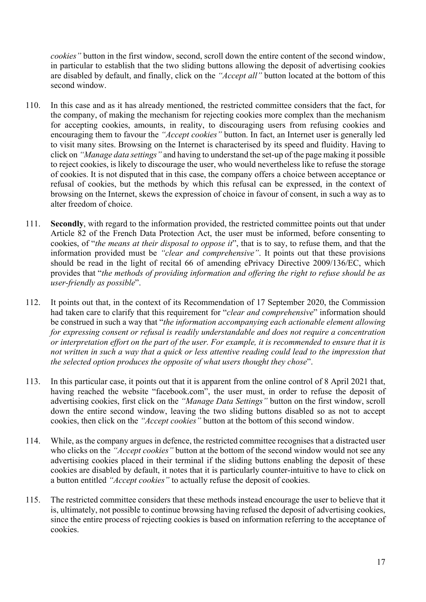*cookies"* button in the first window, second, scroll down the entire content of the second window, in particular to establish that the two sliding buttons allowing the deposit of advertising cookies are disabled by default, and finally, click on the *"Accept all"* button located at the bottom of this second window.

- 110. In this case and as it has already mentioned, the restricted committee considers that the fact, for the company, of making the mechanism for rejecting cookies more complex than the mechanism for accepting cookies, amounts, in reality, to discouraging users from refusing cookies and encouraging them to favour the *"Accept cookies"* button. In fact, an Internet user is generally led to visit many sites. Browsing on the Internet is characterised by its speed and fluidity. Having to click on *"Manage data settings"* and having to understand the set-up of the page making it possible to reject cookies, is likely to discourage the user, who would nevertheless like to refuse the storage of cookies. It is not disputed that in this case, the company offers a choice between acceptance or refusal of cookies, but the methods by which this refusal can be expressed, in the context of browsing on the Internet, skews the expression of choice in favour of consent, in such a way as to alter freedom of choice.
- 111. **Secondly**, with regard to the information provided, the restricted committee points out that under Article 82 of the French Data Protection Act, the user must be informed, before consenting to cookies, of "*the means at their disposal to oppose it*", that is to say, to refuse them, and that the information provided must be *"clear and comprehensive"*. It points out that these provisions should be read in the light of recital 66 of amending ePrivacy Directive 2009/136/EC, which provides that "*the methods of providing information and offering the right to refuse should be as user-friendly as possible*".
- 112. It points out that, in the context of its Recommendation of 17 September 2020, the Commission had taken care to clarify that this requirement for "*clear and comprehensive*" information should be construed in such a way that "*the information accompanying each actionable element allowing for expressing consent or refusal is readily understandable and does not require a concentration or interpretation effort on the part of the user. For example, it is recommended to ensure that it is not written in such a way that a quick or less attentive reading could lead to the impression that the selected option produces the opposite of what users thought they chose*".
- 113. In this particular case, it points out that it is apparent from the online control of 8 April 2021 that, having reached the website "facebook.com", the user must, in order to refuse the deposit of advertising cookies, first click on the *"Manage Data Settings"* button on the first window, scroll down the entire second window, leaving the two sliding buttons disabled so as not to accept cookies, then click on the *"Accept cookies"* button at the bottom of this second window.
- 114. While, as the company argues in defence, the restricted committee recognises that a distracted user who clicks on the *"Accept cookies"* button at the bottom of the second window would not see any advertising cookies placed in their terminal if the sliding buttons enabling the deposit of these cookies are disabled by default, it notes that it is particularly counter-intuitive to have to click on a button entitled *"Accept cookies"* to actually refuse the deposit of cookies.
- 115. The restricted committee considers that these methods instead encourage the user to believe that it is, ultimately, not possible to continue browsing having refused the deposit of advertising cookies, since the entire process of rejecting cookies is based on information referring to the acceptance of cookies.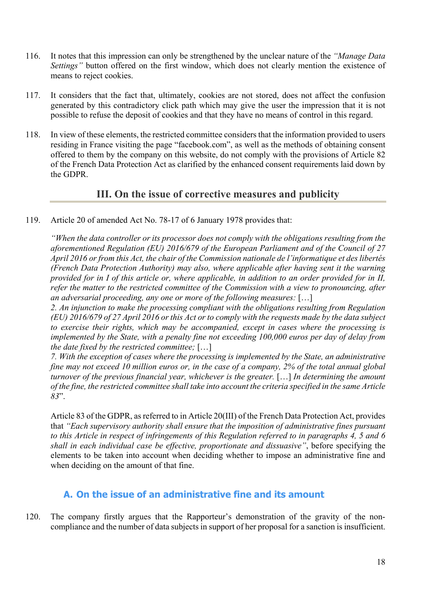- 116. It notes that this impression can only be strengthened by the unclear nature of the *"Manage Data Settings"* button offered on the first window, which does not clearly mention the existence of means to reject cookies.
- 117. It considers that the fact that, ultimately, cookies are not stored, does not affect the confusion generated by this contradictory click path which may give the user the impression that it is not possible to refuse the deposit of cookies and that they have no means of control in this regard.
- 118. In view of these elements, the restricted committee considers that the information provided to users residing in France visiting the page "facebook.com", as well as the methods of obtaining consent offered to them by the company on this website, do not comply with the provisions of Article 82 of the French Data Protection Act as clarified by the enhanced consent requirements laid down by the GDPR.

# **III. On the issue of corrective measures and publicity**

119. Article 20 of amended Act No. 78-17 of 6 January 1978 provides that:

*"When the data controller or its processor does not comply with the obligations resulting from the aforementioned Regulation (EU) 2016/679 of the European Parliament and of the Council of 27 April 2016 or from this Act, the chair of the Commission nationale de l'informatique et des libertés (French Data Protection Authority) may also, where applicable after having sent it the warning provided for in I of this article or, where applicable, in addition to an order provided for in II, refer the matter to the restricted committee of the Commission with a view to pronouncing, after an adversarial proceeding, any one or more of the following measures:* […]

*2. An injunction to make the processing compliant with the obligations resulting from Regulation (EU) 2016/679 of 27 April 2016 or this Act or to comply with the requests made by the data subject to exercise their rights, which may be accompanied, except in cases where the processing is implemented by the State, with a penalty fine not exceeding 100,000 euros per day of delay from the date fixed by the restricted committee;* […]

*7. With the exception of cases where the processing is implemented by the State, an administrative fine may not exceed 10 million euros or, in the case of a company, 2% of the total annual global turnover of the previous financial year, whichever is the greater.* […] *In determining the amount of the fine, the restricted committee shall take into account the criteria specified in the same Article 83*".

Article 83 of the GDPR, as referred to in Article 20(III) of the French Data Protection Act, provides that *"Each supervisory authority shall ensure that the imposition of administrative fines pursuant to this Article in respect of infringements of this Regulation referred to in paragraphs 4, 5 and 6 shall in each individual case be effective, proportionate and dissuasive"*, before specifying the elements to be taken into account when deciding whether to impose an administrative fine and when deciding on the amount of that fine.

## **A. On the issue of an administrative fine and its amount**

120. The company firstly argues that the Rapporteur's demonstration of the gravity of the noncompliance and the number of data subjects in support of her proposal for a sanction is insufficient.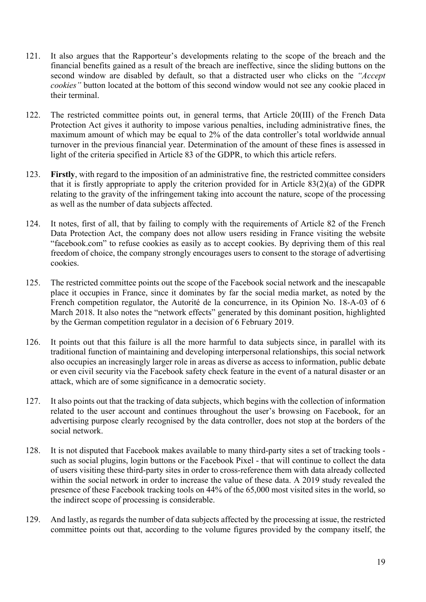- 121. It also argues that the Rapporteur's developments relating to the scope of the breach and the financial benefits gained as a result of the breach are ineffective, since the sliding buttons on the second window are disabled by default, so that a distracted user who clicks on the *"Accept cookies"* button located at the bottom of this second window would not see any cookie placed in their terminal.
- 122. The restricted committee points out, in general terms, that Article 20(III) of the French Data Protection Act gives it authority to impose various penalties, including administrative fines, the maximum amount of which may be equal to 2% of the data controller's total worldwide annual turnover in the previous financial year. Determination of the amount of these fines is assessed in light of the criteria specified in Article 83 of the GDPR, to which this article refers.
- 123. **Firstly**, with regard to the imposition of an administrative fine, the restricted committee considers that it is firstly appropriate to apply the criterion provided for in Article 83(2)(a) of the GDPR relating to the gravity of the infringement taking into account the nature, scope of the processing as well as the number of data subjects affected.
- 124. It notes, first of all, that by failing to comply with the requirements of Article 82 of the French Data Protection Act, the company does not allow users residing in France visiting the website "facebook.com" to refuse cookies as easily as to accept cookies. By depriving them of this real freedom of choice, the company strongly encourages users to consent to the storage of advertising cookies.
- 125. The restricted committee points out the scope of the Facebook social network and the inescapable place it occupies in France, since it dominates by far the social media market, as noted by the French competition regulator, the Autorité de la concurrence, in its Opinion No. 18-A-03 of 6 March 2018. It also notes the "network effects" generated by this dominant position, highlighted by the German competition regulator in a decision of 6 February 2019.
- 126. It points out that this failure is all the more harmful to data subjects since, in parallel with its traditional function of maintaining and developing interpersonal relationships, this social network also occupies an increasingly larger role in areas as diverse as access to information, public debate or even civil security via the Facebook safety check feature in the event of a natural disaster or an attack, which are of some significance in a democratic society.
- 127. It also points out that the tracking of data subjects, which begins with the collection of information related to the user account and continues throughout the user's browsing on Facebook, for an advertising purpose clearly recognised by the data controller, does not stop at the borders of the social network.
- 128. It is not disputed that Facebook makes available to many third-party sites a set of tracking tools such as social plugins, login buttons or the Facebook Pixel - that will continue to collect the data of users visiting these third-party sites in order to cross-reference them with data already collected within the social network in order to increase the value of these data. A 2019 study revealed the presence of these Facebook tracking tools on 44% of the 65,000 most visited sites in the world, so the indirect scope of processing is considerable.
- 129. And lastly, as regards the number of data subjects affected by the processing at issue, the restricted committee points out that, according to the volume figures provided by the company itself, the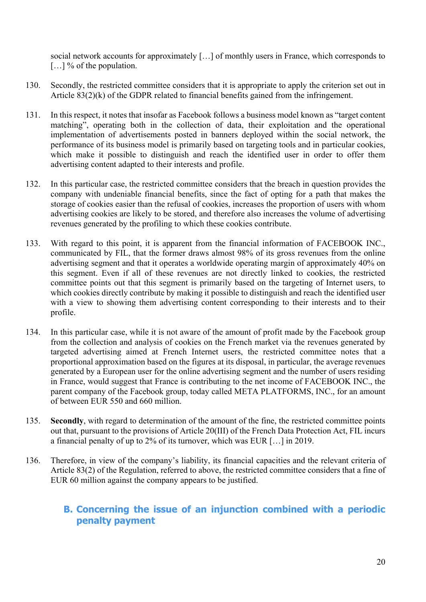social network accounts for approximately […] of monthly users in France, which corresponds to [...] % of the population.

- 130. Secondly, the restricted committee considers that it is appropriate to apply the criterion set out in Article 83(2)(k) of the GDPR related to financial benefits gained from the infringement.
- 131. In this respect, it notes that insofar as Facebook follows a business model known as "target content matching", operating both in the collection of data, their exploitation and the operational implementation of advertisements posted in banners deployed within the social network, the performance of its business model is primarily based on targeting tools and in particular cookies, which make it possible to distinguish and reach the identified user in order to offer them advertising content adapted to their interests and profile.
- 132. In this particular case, the restricted committee considers that the breach in question provides the company with undeniable financial benefits, since the fact of opting for a path that makes the storage of cookies easier than the refusal of cookies, increases the proportion of users with whom advertising cookies are likely to be stored, and therefore also increases the volume of advertising revenues generated by the profiling to which these cookies contribute.
- 133. With regard to this point, it is apparent from the financial information of FACEBOOK INC., communicated by FIL, that the former draws almost 98% of its gross revenues from the online advertising segment and that it operates a worldwide operating margin of approximately 40% on this segment. Even if all of these revenues are not directly linked to cookies, the restricted committee points out that this segment is primarily based on the targeting of Internet users, to which cookies directly contribute by making it possible to distinguish and reach the identified user with a view to showing them advertising content corresponding to their interests and to their profile.
- 134. In this particular case, while it is not aware of the amount of profit made by the Facebook group from the collection and analysis of cookies on the French market via the revenues generated by targeted advertising aimed at French Internet users, the restricted committee notes that a proportional approximation based on the figures at its disposal, in particular, the average revenues generated by a European user for the online advertising segment and the number of users residing in France, would suggest that France is contributing to the net income of FACEBOOK INC., the parent company of the Facebook group, today called META PLATFORMS, INC., for an amount of between EUR 550 and 660 million.
- 135. **Secondly**, with regard to determination of the amount of the fine, the restricted committee points out that, pursuant to the provisions of Article 20(III) of the French Data Protection Act, FIL incurs a financial penalty of up to 2% of its turnover, which was EUR […] in 2019.
- 136. Therefore, in view of the company's liability, its financial capacities and the relevant criteria of Article 83(2) of the Regulation, referred to above, the restricted committee considers that a fine of EUR 60 million against the company appears to be justified.

# **B. Concerning the issue of an injunction combined with a periodic penalty payment**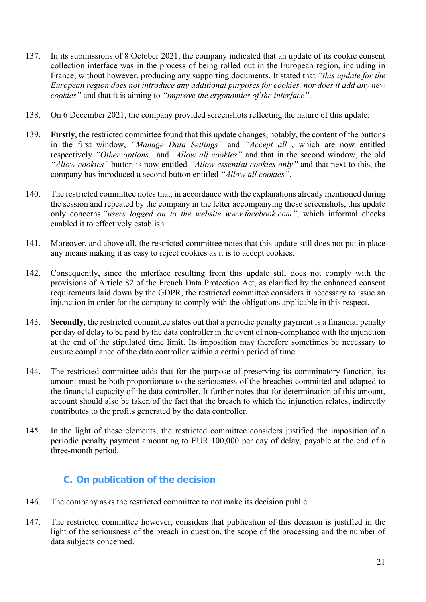- 137. In its submissions of 8 October 2021, the company indicated that an update of its cookie consent collection interface was in the process of being rolled out in the European region, including in France, without however, producing any supporting documents. It stated that *"this update for the European region does not introduce any additional purposes for cookies, nor does it add any new cookies"* and that it is aiming to *"improve the ergonomics of the interface"*.
- 138. On 6 December 2021, the company provided screenshots reflecting the nature of this update.
- 139. **Firstly**, the restricted committee found that this update changes, notably, the content of the buttons in the first window, *"Manage Data Settings"* and *"Accept all"*, which are now entitled respectively *"Other options"* and *"Allow all cookies"* and that in the second window, the old *"Allow cookies"* button is now entitled *"Allow essential cookies only"* and that next to this, the company has introduced a second button entitled *"Allow all cookies"*.
- 140. The restricted committee notes that, in accordance with the explanations already mentioned during the session and repeated by the company in the letter accompanying these screenshots, this update only concerns *"users logged on to the website www.facebook.com"*, which informal checks enabled it to effectively establish.
- 141. Moreover, and above all, the restricted committee notes that this update still does not put in place any means making it as easy to reject cookies as it is to accept cookies.
- 142. Consequently, since the interface resulting from this update still does not comply with the provisions of Article 82 of the French Data Protection Act, as clarified by the enhanced consent requirements laid down by the GDPR, the restricted committee considers it necessary to issue an injunction in order for the company to comply with the obligations applicable in this respect.
- 143. **Secondly**, the restricted committee states out that a periodic penalty payment is a financial penalty per day of delay to be paid by the data controller in the event of non-compliance with the injunction at the end of the stipulated time limit. Its imposition may therefore sometimes be necessary to ensure compliance of the data controller within a certain period of time.
- 144. The restricted committee adds that for the purpose of preserving its comminatory function, its amount must be both proportionate to the seriousness of the breaches committed and adapted to the financial capacity of the data controller. It further notes that for determination of this amount, account should also be taken of the fact that the breach to which the injunction relates, indirectly contributes to the profits generated by the data controller.
- 145. In the light of these elements, the restricted committee considers justified the imposition of a periodic penalty payment amounting to EUR 100,000 per day of delay, payable at the end of a three-month period.

# **C. On publication of the decision**

- 146. The company asks the restricted committee to not make its decision public.
- 147. The restricted committee however, considers that publication of this decision is justified in the light of the seriousness of the breach in question, the scope of the processing and the number of data subjects concerned.